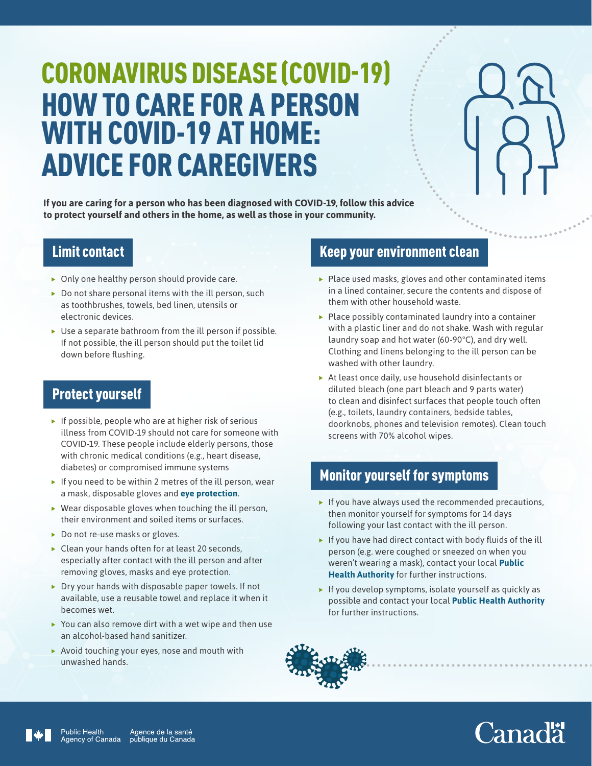# CORONAVIRUS DISEASE (COVID-19) HOW TO CARE FOR A PERSON WITH COVID-19 AT HOME: ADVICE FOR CAREGIVERS

**If you are caring for a person who has been diagnosed with COVID-19, follow this advice to protect yourself and others in the home, as well as those in your community.** 

#### Limit contact

- $\triangleright$  Only one healthy person should provide care.
- $\triangleright$  Do not share personal items with the ill person, such as toothbrushes, towels, bed linen, utensils or electronic devices.
- $\blacktriangleright$  Use a separate bathroom from the ill person if possible. If not possible, the ill person should put the toilet lid down before flushing.

#### Protect yourself

- $\blacktriangleright$  If possible, people who are at higher risk of serious illness from COVID-19 should not care for someone with COVID-19. These people include elderly persons, those with chronic medical conditions (e.g., heart disease, diabetes) or compromised immune systems
- $\blacktriangleright$  If you need to be within 2 metres of the ill person, wear a [mask,](https://www.canada.ca/en/public-health/services/diseases/2019-novel-coronavirus-infection/health-professionals/interim-guidance-cases-contacts.html#ma) disposable gloves and **[eye protection](https://www.canada.ca/en/public-health/services/diseases/2019-novel-coronavirus-infection/health-professionals/interim-guidance-cases-contacts.html#app1)**.
- $\blacktriangleright$  Wear disposable gloves when touching the ill person, their environment and soiled items or surfaces.
- $\triangleright$  Do not re-use masks or gloves.
- $\blacktriangleright$  Clean your hands often for at least 20 seconds, especially after contact with the ill person and after removing gloves, masks and eye protection.
- $\triangleright$  Dry your hands with disposable paper towels. If not available, use a reusable towel and replace it when it becomes wet.
- $\blacktriangleright$  You can also remove dirt with a wet wipe and then use an alcohol-based hand sanitizer.
- $\blacktriangleright$  Avoid touching your eyes, nose and mouth with unwashed hands.

#### Keep your environment clean

- $\blacktriangleright$  Place used masks, gloves and other contaminated items in a lined container, secure the contents and dispose of them with other household waste.
- $\blacktriangleright$  Place possibly contaminated laundry into a container with a plastic liner and do not shake. Wash with regular laundry soap and hot water (60-90°C), and dry well. Clothing and linens belonging to the ill person can be washed with other laundry.
- $\triangleright$  At least once daily, use household disinfectants or diluted bleach (one part bleach and 9 parts water) to clean and disinfect surfaces that people touch often (e.g., toilets, laundry containers, bedside tables, doorknobs, phones and television remotes). Clean touch screens with 70% alcohol wipes.

#### Monitor yourself for symptoms

- $\blacktriangleright$  If you have always used the recommended precautions, then monitor yourself for symptoms for 14 days following your last contact with the ill person.
- $\blacktriangleright$  If you have had direct contact with body fluids of the ill person (e.g. were coughed or sneezed on when you weren't wearing a mask), contact your local **[Public](https://www.canada.ca/en/public-health/services/publications/diseases-conditions/2019-novel-coronavirus-information-sheet.html#pha)  [Health Authority](https://www.canada.ca/en/public-health/services/publications/diseases-conditions/2019-novel-coronavirus-information-sheet.html#pha)** for further instructions.
- $\blacktriangleright$  If you develop symptoms, isolate yourself as quickly as possible and contact your local **[Public Health Authority](https://www.canada.ca/en/public-health/services/publications/diseases-conditions/2019-novel-coronavirus-information-sheet.html#pha)** for further instructions.